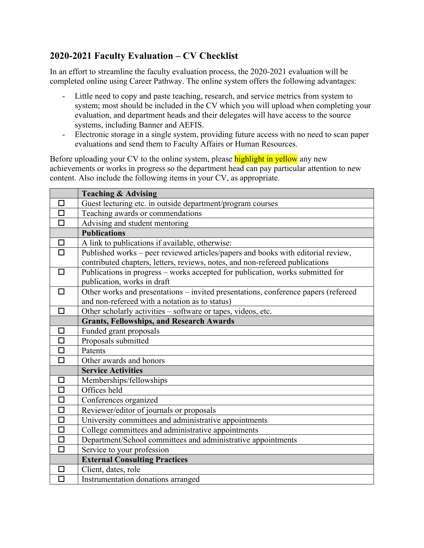## **2020-2021 Faculty Evaluation – CV Checklist**

In an effort to streamline the faculty evaluation process, the 2020-2021 evaluation will be completed online using Career Pathway. The online system offers the following advantages:

- Little need to copy and paste teaching, research, and service metrics from system to system; most should be included in the CV which you will upload when completing your evaluation, and department heads and their delegates will have access to the source systems, including Banner and AEFIS.
- Electronic storage in a single system, providing future access with no need to scan paper evaluations and send them to Faculty Affairs or Human Resources.

Before uploading your CV to the online system, please **highlight in yellow** any new achievements or works in progress so the department head can pay particular attention to new content. Also include the following items in your CV, as appropriate.

|                      | <b>Teaching &amp; Advising</b>                                                     |
|----------------------|------------------------------------------------------------------------------------|
| □                    | Guest lecturing etc. in outside department/program courses                         |
| $\Box$               | Teaching awards or commendations                                                   |
| $\Box$               | Advising and student mentoring                                                     |
|                      | <b>Publications</b>                                                                |
| $\Box$               | A link to publications if available, otherwise:                                    |
| $\Box$               | Published works – peer reviewed articles/papers and books with editorial review,   |
|                      | contributed chapters, letters, reviews, notes, and non-refereed publications       |
| $\Box$               | Publications in progress - works accepted for publication, works submitted for     |
|                      | publication, works in draft                                                        |
| $\Box$               | Other works and presentations - invited presentations, conference papers (refereed |
|                      | and non-refereed with a notation as to status)                                     |
| $\Box$               | Other scholarly activities - software or tapes, videos, etc.                       |
|                      | <b>Grants, Fellowships, and Research Awards</b>                                    |
| $\Box$               | Funded grant proposals                                                             |
| $\Box$               | Proposals submitted                                                                |
| $\Box$               | Patents                                                                            |
| $\Box$               | Other awards and honors                                                            |
|                      | <b>Service Activities</b>                                                          |
| $\Box$               | Memberships/fellowships                                                            |
| $\Box$               | Offices held                                                                       |
| $\Box$               | Conferences organized                                                              |
| $\overline{\square}$ | Reviewer/editor of journals or proposals                                           |
| $\Box$               | University committees and administrative appointments                              |
| $\Box$               | College committees and administrative appointments                                 |
| $\overline{\square}$ | Department/School committees and administrative appointments                       |
| $\Box$               | Service to your profession                                                         |
|                      | <b>External Consulting Practices</b>                                               |
| $\Box$               | Client, dates, role                                                                |
| $\Box$               | Instrumentation donations arranged                                                 |